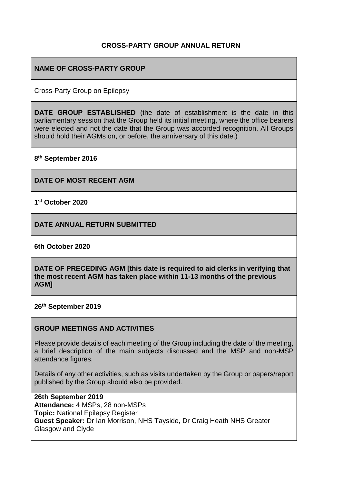### **CROSS-PARTY GROUP ANNUAL RETURN**

## **NAME OF CROSS-PARTY GROUP**

Cross-Party Group on Epilepsy

**DATE GROUP ESTABLISHED** (the date of establishment is the date in this parliamentary session that the Group held its initial meeting, where the office bearers were elected and not the date that the Group was accorded recognition. All Groups should hold their AGMs on, or before, the anniversary of this date.)

**8 th September 2016**

**DATE OF MOST RECENT AGM**

**1 st October 2020** 

**DATE ANNUAL RETURN SUBMITTED**

**6th October 2020**

**DATE OF PRECEDING AGM [this date is required to aid clerks in verifying that the most recent AGM has taken place within 11-13 months of the previous AGM]**

**26 th September 2019**

#### **GROUP MEETINGS AND ACTIVITIES**

Please provide details of each meeting of the Group including the date of the meeting, a brief description of the main subjects discussed and the MSP and non-MSP attendance figures.

Details of any other activities, such as visits undertaken by the Group or papers/report published by the Group should also be provided.

**26th September 2019 Attendance:** 4 MSPs, 28 non-MSPs **Topic:** National Epilepsy Register **Guest Speaker:** Dr Ian Morrison, NHS Tayside, Dr Craig Heath NHS Greater Glasgow and Clyde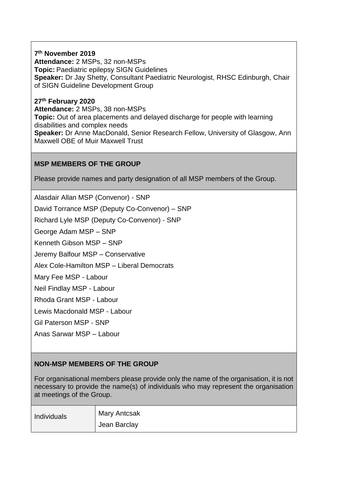**7 th November 2019 Attendance:** 2 MSPs, 32 non-MSPs **Topic:** Paediatric epilepsy SIGN Guidelines **Speaker:** Dr Jay Shetty, Consultant Paediatric Neurologist, RHSC Edinburgh, Chair of SIGN Guideline Development Group

**27th February 2020 Attendance:** 2 MSPs, 38 non-MSPs **Topic:** Out of area placements and delayed discharge for people with learning disabilities and complex needs **Speaker:** Dr Anne MacDonald, Senior Research Fellow, University of Glasgow, Ann Maxwell OBE of Muir Maxwell Trust

### **MSP MEMBERS OF THE GROUP**

Please provide names and party designation of all MSP members of the Group.

Alasdair Allan MSP (Convenor) - SNP David Torrance MSP (Deputy Co-Convenor) – SNP Richard Lyle MSP (Deputy Co-Convenor) - SNP George Adam MSP – SNP Kenneth Gibson MSP – SNP Jeremy Balfour MSP – Conservative Alex Cole-Hamilton MSP – Liberal Democrats Mary Fee MSP - Labour Neil Findlay MSP - Labour Rhoda Grant MSP - Labour Lewis Macdonald MSP - Labour Gil Paterson MSP - SNP

Anas Sarwar MSP – Labour

## **NON-MSP MEMBERS OF THE GROUP**

For organisational members please provide only the name of the organisation, it is not necessary to provide the name(s) of individuals who may represent the organisation at meetings of the Group.

| Individuals | <b>Mary Antcsak</b> |
|-------------|---------------------|
|             | Jean Barclay        |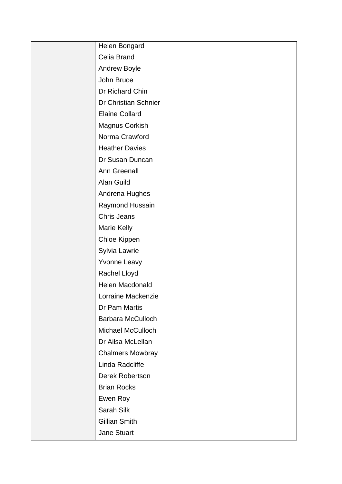| Helen Bongard            |
|--------------------------|
| Celia Brand              |
| <b>Andrew Boyle</b>      |
| John Bruce               |
| Dr Richard Chin          |
| Dr Christian Schnier     |
| <b>Elaine Collard</b>    |
| Magnus Corkish           |
| Norma Crawford           |
| <b>Heather Davies</b>    |
| Dr Susan Duncan          |
| <b>Ann Greenall</b>      |
| Alan Guild               |
| Andrena Hughes           |
| Raymond Hussain          |
| <b>Chris Jeans</b>       |
| Marie Kelly              |
| Chloe Kippen             |
| Sylvia Lawrie            |
| Yvonne Leavy             |
| Rachel Lloyd             |
| <b>Helen Macdonald</b>   |
| Lorraine Mackenzie       |
| Dr Pam Martis            |
| <b>Barbara McCulloch</b> |
| <b>Michael McCulloch</b> |
| Dr Ailsa McLellan        |
| <b>Chalmers Mowbray</b>  |
| Linda Radcliffe          |
| Derek Robertson          |
| <b>Brian Rocks</b>       |
| Ewen Roy                 |
| Sarah Silk               |
| <b>Gillian Smith</b>     |
| <b>Jane Stuart</b>       |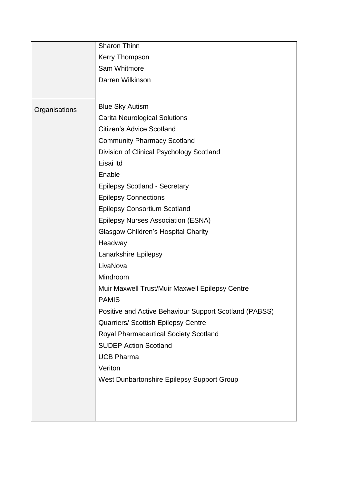|               | Sharon Thinn                                           |
|---------------|--------------------------------------------------------|
|               | <b>Kerry Thompson</b>                                  |
|               | Sam Whitmore                                           |
|               | Darren Wilkinson                                       |
|               |                                                        |
| Organisations | <b>Blue Sky Autism</b>                                 |
|               | <b>Carita Neurological Solutions</b>                   |
|               | <b>Citizen's Advice Scotland</b>                       |
|               | <b>Community Pharmacy Scotland</b>                     |
|               | Division of Clinical Psychology Scotland               |
|               | Eisai Itd                                              |
|               | Enable                                                 |
|               | <b>Epilepsy Scotland - Secretary</b>                   |
|               | <b>Epilepsy Connections</b>                            |
|               | <b>Epilepsy Consortium Scotland</b>                    |
|               | <b>Epilepsy Nurses Association (ESNA)</b>              |
|               | <b>Glasgow Children's Hospital Charity</b>             |
|               | Headway                                                |
|               | Lanarkshire Epilepsy                                   |
|               | LivaNova                                               |
|               | Mindroom                                               |
|               | Muir Maxwell Trust/Muir Maxwell Epilepsy Centre        |
|               | PAMIS                                                  |
|               | Positive and Active Behaviour Support Scotland (PABSS) |
|               | Quarriers/ Scottish Epilepsy Centre                    |
|               | <b>Royal Pharmaceutical Society Scotland</b>           |
|               | <b>SUDEP Action Scotland</b>                           |
|               | <b>UCB Pharma</b>                                      |
|               | Veriton                                                |
|               | West Dunbartonshire Epilepsy Support Group             |
|               |                                                        |
|               |                                                        |
|               |                                                        |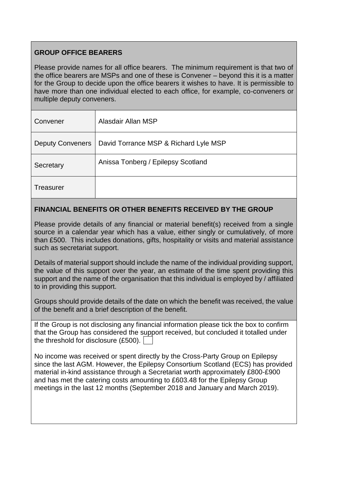# **GROUP OFFICE BEARERS**

Please provide names for all office bearers. The minimum requirement is that two of the office bearers are MSPs and one of these is Convener – beyond this it is a matter for the Group to decide upon the office bearers it wishes to have. It is permissible to have more than one individual elected to each office, for example, co-conveners or multiple deputy conveners.

| Convener                | Alasdair Allan MSP                    |
|-------------------------|---------------------------------------|
| <b>Deputy Conveners</b> | David Torrance MSP & Richard Lyle MSP |
| Secretary               | Anissa Tonberg / Epilepsy Scotland    |
| <b>Treasurer</b>        |                                       |

## **FINANCIAL BENEFITS OR OTHER BENEFITS RECEIVED BY THE GROUP**

Please provide details of any financial or material benefit(s) received from a single source in a calendar year which has a value, either singly or cumulatively, of more than £500. This includes donations, gifts, hospitality or visits and material assistance such as secretariat support.

Details of material support should include the name of the individual providing support, the value of this support over the year, an estimate of the time spent providing this support and the name of the organisation that this individual is employed by / affiliated to in providing this support.

Groups should provide details of the date on which the benefit was received, the value of the benefit and a brief description of the benefit.

If the Group is not disclosing any financial information please tick the box to confirm that the Group has considered the support received, but concluded it totalled under the threshold for disclosure (£500).

No income was received or spent directly by the Cross-Party Group on Epilepsy since the last AGM. However, the Epilepsy Consortium Scotland (ECS) has provided material in-kind assistance through a Secretariat worth approximately £800-£900 and has met the catering costs amounting to £603.48 for the Epilepsy Group meetings in the last 12 months (September 2018 and January and March 2019).